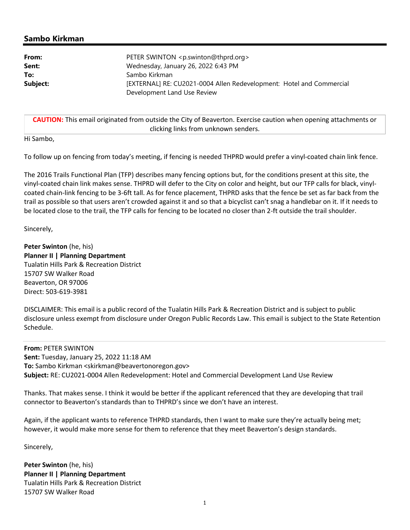# Sambo Kirkman

| From:    | PETER SWINTON <p.swinton@thprd.org></p.swinton@thprd.org>            |
|----------|----------------------------------------------------------------------|
| Sent:    | Wednesday, January 26, 2022 6:43 PM                                  |
| To:      | Sambo Kirkman                                                        |
| Subject: | [EXTERNAL] RE: CU2021-0004 Allen Redevelopment: Hotel and Commercial |
|          | Development Land Use Review                                          |

CAUTION: This email originated from outside the City of Beaverton. Exercise caution when opening attachments or clicking links from unknown senders.

Hi Sambo,

To follow up on fencing from today's meeting, if fencing is needed THPRD would prefer a vinyl-coated chain link fence.

The 2016 Trails Functional Plan (TFP) describes many fencing options but, for the conditions present at this site, the vinyl-coated chain link makes sense. THPRD will defer to the City on color and height, but our TFP calls for black, vinylcoated chain-link fencing to be 3-6ft tall. As for fence placement, THPRD asks that the fence be set as far back from the trail as possible so that users aren't crowded against it and so that a bicyclist can't snag a handlebar on it. If it needs to be located close to the trail, the TFP calls for fencing to be located no closer than 2-ft outside the trail shoulder.

Sincerely,

Peter Swinton (he, his) Planner II | Planning Department Tualatin Hills Park & Recreation District 15707 SW Walker Road Beaverton, OR 97006 Direct: 503-619-3981

DISCLAIMER: This email is a public record of the Tualatin Hills Park & Recreation District and is subject to public disclosure unless exempt from disclosure under Oregon Public Records Law. This email is subject to the State Retention Schedule.

From: PETER SWINTON Sent: Tuesday, January 25, 2022 11:18 AM To: Sambo Kirkman <skirkman@beavertonoregon.gov> Subject: RE: CU2021-0004 Allen Redevelopment: Hotel and Commercial Development Land Use Review

Thanks. That makes sense. I think it would be better if the applicant referenced that they are developing that trail connector to Beaverton's standards than to THPRD's since we don't have an interest.

Again, if the applicant wants to reference THPRD standards, then I want to make sure they're actually being met; however, it would make more sense for them to reference that they meet Beaverton's design standards.

Sincerely,

Peter Swinton (he, his) Planner II | Planning Department Tualatin Hills Park & Recreation District 15707 SW Walker Road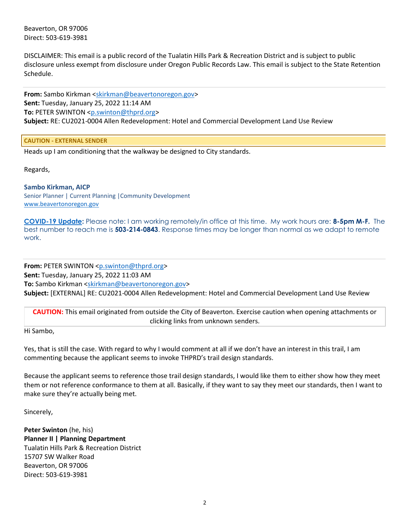Beaverton, OR 97006 Direct: 503-619-3981

DISCLAIMER: This email is a public record of the Tualatin Hills Park & Recreation District and is subject to public disclosure unless exempt from disclosure under Oregon Public Records Law. This email is subject to the State Retention Schedule.

From: Sambo Kirkman <skirkman@beavertonoregon.gov> Sent: Tuesday, January 25, 2022 11:14 AM To: PETER SWINTON <p.swinton@thprd.org> Subject: RE: CU2021-0004 Allen Redevelopment: Hotel and Commercial Development Land Use Review

CAUTION - EXTERNAL SENDER

Heads up I am conditioning that the walkway be designed to City standards.

Regards,

#### Sambo Kirkman, AICP Senior Planner | Current Planning |Community Development

www.beavertonoregon.gov

COVID-19 Update: Please note: I am working remotely/in office at this time. My work hours are: 8-5pm M-F. The best number to reach me is 503-214-0843. Response times may be longer than normal as we adapt to remote work.

From: PETER SWINTON <p.swinton@thprd.org> Sent: Tuesday, January 25, 2022 11:03 AM To: Sambo Kirkman <skirkman@beavertonoregon.gov> Subject: [EXTERNAL] RE: CU2021-0004 Allen Redevelopment: Hotel and Commercial Development Land Use Review

CAUTION: This email originated from outside the City of Beaverton. Exercise caution when opening attachments or clicking links from unknown senders.

Hi Sambo,

Yes, that is still the case. With regard to why I would comment at all if we don't have an interest in this trail, I am commenting because the applicant seems to invoke THPRD's trail design standards.

Because the applicant seems to reference those trail design standards, I would like them to either show how they meet them or not reference conformance to them at all. Basically, if they want to say they meet our standards, then I want to make sure they're actually being met.

Sincerely,

Peter Swinton (he, his) Planner II | Planning Department Tualatin Hills Park & Recreation District 15707 SW Walker Road Beaverton, OR 97006 Direct: 503-619-3981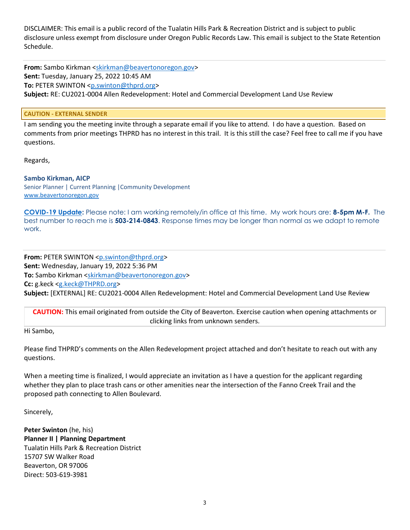DISCLAIMER: This email is a public record of the Tualatin Hills Park & Recreation District and is subject to public disclosure unless exempt from disclosure under Oregon Public Records Law. This email is subject to the State Retention Schedule.

From: Sambo Kirkman <skirkman@beavertonoregon.gov> Sent: Tuesday, January 25, 2022 10:45 AM To: PETER SWINTON <p.swinton@thprd.org> Subject: RE: CU2021-0004 Allen Redevelopment: Hotel and Commercial Development Land Use Review

# CAUTION - EXTERNAL SENDER

I am sending you the meeting invite through a separate email if you like to attend. I do have a question. Based on comments from prior meetings THPRD has no interest in this trail. It is this still the case? Feel free to call me if you have questions.

Regards,

# Sambo Kirkman, AICP

Senior Planner | Current Planning |Community Development www.beavertonoregon.gov

COVID-19 Update: Please note: I am working remotely/in office at this time. My work hours are: 8-5pm M-F. The best number to reach me is **503-214-0843**. Response times may be longer than normal as we adapt to remote work.

From: PETER SWINTON <p.swinton@thprd.org> Sent: Wednesday, January 19, 2022 5:36 PM To: Sambo Kirkman <skirkman@beavertonoregon.gov> Cc: g.keck <g.keck@THPRD.org>

Subject: [EXTERNAL] RE: CU2021-0004 Allen Redevelopment: Hotel and Commercial Development Land Use Review

CAUTION: This email originated from outside the City of Beaverton. Exercise caution when opening attachments or clicking links from unknown senders.

Hi Sambo,

Please find THPRD's comments on the Allen Redevelopment project attached and don't hesitate to reach out with any questions.

When a meeting time is finalized, I would appreciate an invitation as I have a question for the applicant regarding whether they plan to place trash cans or other amenities near the intersection of the Fanno Creek Trail and the proposed path connecting to Allen Boulevard.

Sincerely,

Peter Swinton (he, his) Planner II | Planning Department Tualatin Hills Park & Recreation District 15707 SW Walker Road Beaverton, OR 97006 Direct: 503-619-3981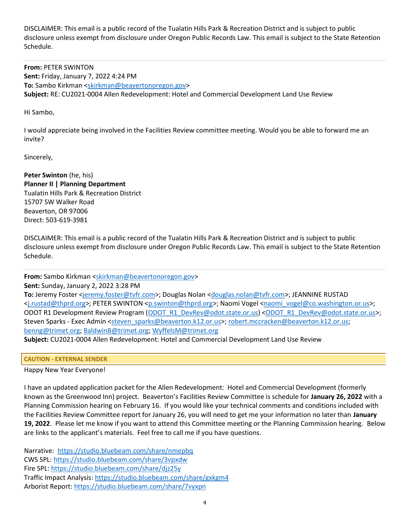DISCLAIMER: This email is a public record of the Tualatin Hills Park & Recreation District and is subject to public disclosure unless exempt from disclosure under Oregon Public Records Law. This email is subject to the State Retention Schedule.

From: PETER SWINTON Sent: Friday, January 7, 2022 4:24 PM To: Sambo Kirkman <skirkman@beavertonoregon.gov> Subject: RE: CU2021-0004 Allen Redevelopment: Hotel and Commercial Development Land Use Review

Hi Sambo,

I would appreciate being involved in the Facilities Review committee meeting. Would you be able to forward me an invite?

Sincerely,

Peter Swinton (he, his) Planner II | Planning Department Tualatin Hills Park & Recreation District 15707 SW Walker Road Beaverton, OR 97006 Direct: 503-619-3981

DISCLAIMER: This email is a public record of the Tualatin Hills Park & Recreation District and is subject to public disclosure unless exempt from disclosure under Oregon Public Records Law. This email is subject to the State Retention Schedule.

From: Sambo Kirkman <skirkman@beavertonoregon.gov>

Sent: Sunday, January 2, 2022 3:28 PM

To: Jeremy Foster <jeremy.foster@tvfr.com>; Douglas Nolan <douglas.nolan@tvfr.com>; JEANNINE RUSTAD <j.rustad@thprd.org>; PETER SWINTON <p.swinton@thprd.org>; Naomi Vogel <naomi\_vogel@co.washington.or.us>; ODOT R1 Development Review Program (ODOT\_R1\_DevRev@odot.state.or.us) <ODOT\_R1\_DevRev@odot.state.or.us>; Steven Sparks - Exec Admin <steven\_sparks@beaverton.k12.or.us>; robert.mccracken@beaverton.k12.or.us; benng@trimet.org; BaldwinB@trimet.org; WyffelsM@trimet.org

Subject: CU2021-0004 Allen Redevelopment: Hotel and Commercial Development Land Use Review

CAUTION - EXTERNAL SENDER

Happy New Year Everyone!

I have an updated application packet for the Allen Redevelopment: Hotel and Commercial Development (formerly known as the Greenwood Inn) project. Beaverton's Facilities Review Committee is schedule for January 26, 2022 with a Planning Commission hearing on February 16. If you would like your technical comments and conditions included with the Facilities Review Committee report for January 26, you will need to get me your information no later than January 19, 2022. Please let me know if you want to attend this Committee meeting or the Planning Commission hearing. Below are links to the applicant's materials. Feel free to call me if you have questions.

Narrative: https://studio.bluebeam.com/share/nmepbq CWS SPL: https://studio.bluebeam.com/share/3vpxdw Fire SPL: https://studio.bluebeam.com/share/djz25y Traffic Impact Analysis: https://studio.bluebeam.com/share/gxkgm4 Arborist Report: https://studio.bluebeam.com/share/7vyxpn